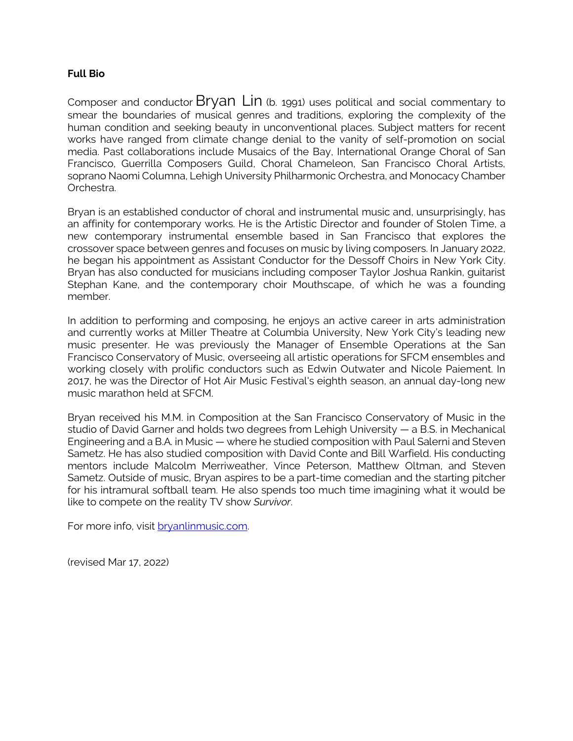## **Full Bio**

Composer and conductor Bryan Lin (b. 1991) uses political and social commentary to smear the boundaries of musical genres and traditions, exploring the complexity of the human condition and seeking beauty in unconventional places. Subject matters for recent works have ranged from climate change denial to the vanity of self-promotion on social media. Past collaborations include Musaics of the Bay, International Orange Choral of San Francisco, Guerrilla Composers Guild, Choral Chameleon, San Francisco Choral Artists, soprano Naomi Columna, Lehigh University Philharmonic Orchestra, and Monocacy Chamber Orchestra.

Bryan is an established conductor of choral and instrumental music and, unsurprisingly, has an affinity for contemporary works. He is the Artistic Director and founder of Stolen Time, a new contemporary instrumental ensemble based in San Francisco that explores the crossover space between genres and focuses on music by living composers. In January 2022, he began his appointment as Assistant Conductor for the Dessoff Choirs in New York City. Bryan has also conducted for musicians including composer Taylor Joshua Rankin, guitarist Stephan Kane, and the contemporary choir Mouthscape, of which he was a founding member.

In addition to performing and composing, he enjoys an active career in arts administration and currently works at Miller Theatre at Columbia University, New York City's leading new music presenter. He was previously the Manager of Ensemble Operations at the San Francisco Conservatory of Music, overseeing all artistic operations for SFCM ensembles and working closely with prolific conductors such as Edwin Outwater and Nicole Paiement. In 2017, he was the Director of Hot Air Music Festival's eighth season, an annual day-long new music marathon held at SFCM.

Bryan received his M.M. in Composition at the San Francisco Conservatory of Music in the studio of David Garner and holds two degrees from Lehigh University — a B.S. in Mechanical Engineering and a B.A. in Music — where he studied composition with Paul Salerni and Steven Sametz. He has also studied composition with David Conte and Bill Warfield. His conducting mentors include Malcolm Merriweather, Vince Peterson, Matthew Oltman, and Steven Sametz. Outside of music, Bryan aspires to be a part-time comedian and the starting pitcher for his intramural softball team. He also spends too much time imagining what it would be like to compete on the reality TV show *Survivor*.

For more info, visit **bryanlinmusic.com**.

(revised Mar 17, 2022)